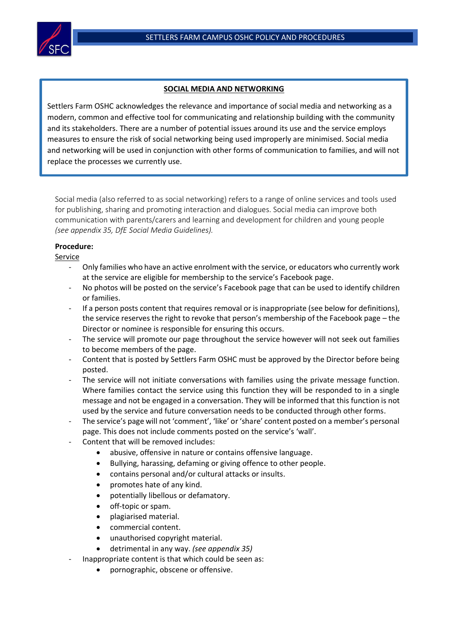

 $\overline{a}$ 

## **SOCIAL MEDIA AND NETWORKING**

 replace the processes we currently use.Settlers Farm OSHC acknowledges the relevance and importance of social media and networking as a modern, common and effective tool for communicating and relationship building with the community and its stakeholders. There are a number of potential issues around its use and the service employs measures to ensure the risk of social networking being used improperly are minimised. Social media and networking will be used in conjunction with other forms of communication to families, and will not

Social media (also referred to as social networking) refers to a range of online services and tools used for publishing, sharing and promoting interaction and dialogues. Social media can improve both communication with parents/carers and learning and development for children and young people *(see appendix 35, DfE Social Media Guidelines).*

# **Procedure:**

### Service

- Only families who have an active enrolment with the service, or educators who currently work at the service are eligible for membership to the service's Facebook page.
- No photos will be posted on the service's Facebook page that can be used to identify children or families.
- If a person posts content that requires removal or is inappropriate (see below for definitions), the service reserves the right to revoke that person's membership of the Facebook page – the Director or nominee is responsible for ensuring this occurs.
- The service will promote our page throughout the service however will not seek out families to become members of the page.
- Content that is posted by Settlers Farm OSHC must be approved by the Director before being posted.
- The service will not initiate conversations with families using the private message function. Where families contact the service using this function they will be responded to in a single message and not be engaged in a conversation. They will be informed that this function is not used by the service and future conversation needs to be conducted through other forms.
- The service's page will not 'comment', 'like' or 'share' content posted on a member's personal page. This does not include comments posted on the service's 'wall'.
- Content that will be removed includes:
	- abusive, offensive in nature or contains offensive language.
	- Bullying, harassing, defaming or giving offence to other people.
	- contains personal and/or cultural attacks or insults.
	- promotes hate of any kind.
	- potentially libellous or defamatory.
	- off-topic or spam.
	- plagiarised material.
	- commercial content.
	- unauthorised copyright material.
	- detrimental in any way. *(see appendix 35)*
	- Inappropriate content is that which could be seen as:
		- pornographic, obscene or offensive.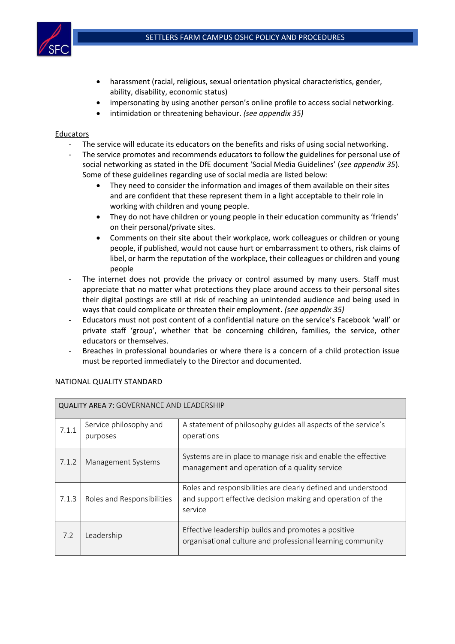

- harassment (racial, religious, sexual orientation physical characteristics, gender, ability, disability, economic status)
- impersonating by using another person's online profile to access social networking.
- intimidation or threatening behaviour. *(see appendix 35)*

#### **Educators**

- The service will educate its educators on the benefits and risks of using social networking.
- The service promotes and recommends educators to follow the guidelines for personal use of social networking as stated in the DfE document 'Social Media Guidelines' (*see appendix 35*). Some of these guidelines regarding use of social media are listed below:
	- They need to consider the information and images of them available on their sites and are confident that these represent them in a light acceptable to their role in working with children and young people.
	- They do not have children or young people in their education community as 'friends' on their personal/private sites.
	- Comments on their site about their workplace, work colleagues or children or young people, if published, would not cause hurt or embarrassment to others, risk claims of libel, or harm the reputation of the workplace, their colleagues or children and young people
- The internet does not provide the privacy or control assumed by many users. Staff must appreciate that no matter what protections they place around access to their personal sites their digital postings are still at risk of reaching an unintended audience and being used in ways that could complicate or threaten their employment. *(see appendix 35)*
- Educators must not post content of a confidential nature on the service's Facebook 'wall' or private staff 'group', whether that be concerning children, families, the service, other educators or themselves.
- Breaches in professional boundaries or where there is a concern of a child protection issue must be reported immediately to the Director and documented.

| <b>QUALITY AREA 7: GOVERNANCE AND LEADERSHIP</b> |                                    |                                                                                                                                        |  |  |
|--------------------------------------------------|------------------------------------|----------------------------------------------------------------------------------------------------------------------------------------|--|--|
| 7.1.1                                            | Service philosophy and<br>purposes | A statement of philosophy guides all aspects of the service's<br>operations                                                            |  |  |
| 7.1.2                                            | Management Systems                 | Systems are in place to manage risk and enable the effective<br>management and operation of a quality service                          |  |  |
| 7.1.3                                            | Roles and Responsibilities         | Roles and responsibilities are clearly defined and understood<br>and support effective decision making and operation of the<br>service |  |  |
| 7.2                                              | Leadership                         | Effective leadership builds and promotes a positive<br>organisational culture and professional learning community                      |  |  |

### NATIONAL QUALITY STANDARD